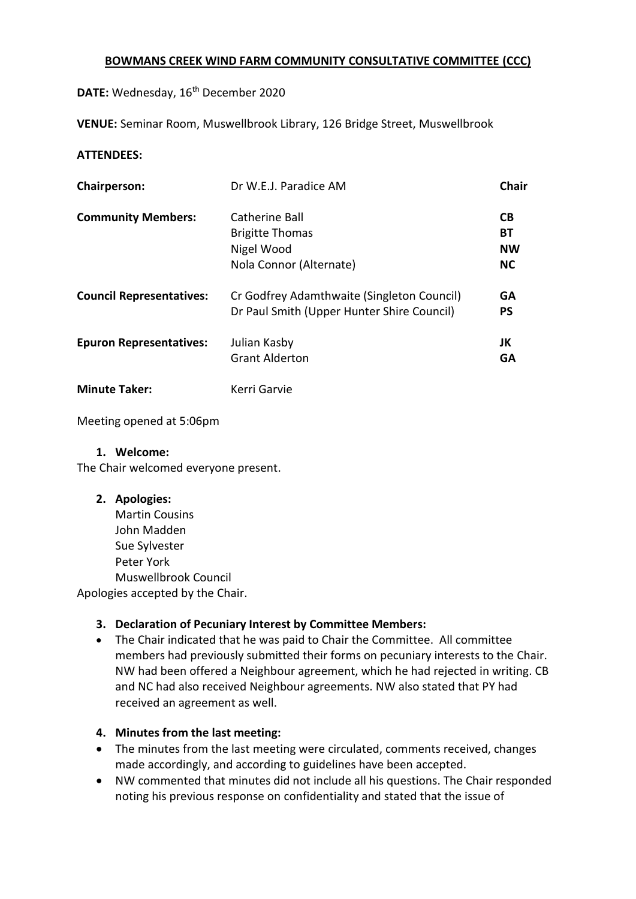### **BOWMANS CREEK WIND FARM COMMUNITY CONSULTATIVE COMMITTEE (CCC)**

DATE: Wednesday, 16<sup>th</sup> December 2020

**VENUE:** Seminar Room, Muswellbrook Library, 126 Bridge Street, Muswellbrook

### **ATTENDEES:**

| <b>Chairperson:</b>             | Dr W.E.J. Paradice AM                                                                    | Chair                                     |
|---------------------------------|------------------------------------------------------------------------------------------|-------------------------------------------|
| <b>Community Members:</b>       | Catherine Ball<br><b>Brigitte Thomas</b><br>Nigel Wood<br>Nola Connor (Alternate)        | <b>CB</b><br>BT<br><b>NW</b><br><b>NC</b> |
| <b>Council Representatives:</b> | Cr Godfrey Adamthwaite (Singleton Council)<br>Dr Paul Smith (Upper Hunter Shire Council) | <b>GA</b><br><b>PS</b>                    |
| <b>Epuron Representatives:</b>  | Julian Kasby<br><b>Grant Alderton</b>                                                    | JK<br><b>GA</b>                           |
| <b>Minute Taker:</b>            | Kerri Garvie                                                                             |                                           |

Meeting opened at 5:06pm

**1. Welcome:**

The Chair welcomed everyone present.

#### **2. Apologies:**

Martin Cousins John Madden Sue Sylvester Peter York Muswellbrook Council Apologies accepted by the Chair.

# **3. Declaration of Pecuniary Interest by Committee Members:**

• The Chair indicated that he was paid to Chair the Committee. All committee members had previously submitted their forms on pecuniary interests to the Chair. NW had been offered a Neighbour agreement, which he had rejected in writing. CB and NC had also received Neighbour agreements. NW also stated that PY had received an agreement as well.

# **4. Minutes from the last meeting:**

- The minutes from the last meeting were circulated, comments received, changes made accordingly, and according to guidelines have been accepted.
- NW commented that minutes did not include all his questions. The Chair responded noting his previous response on confidentiality and stated that the issue of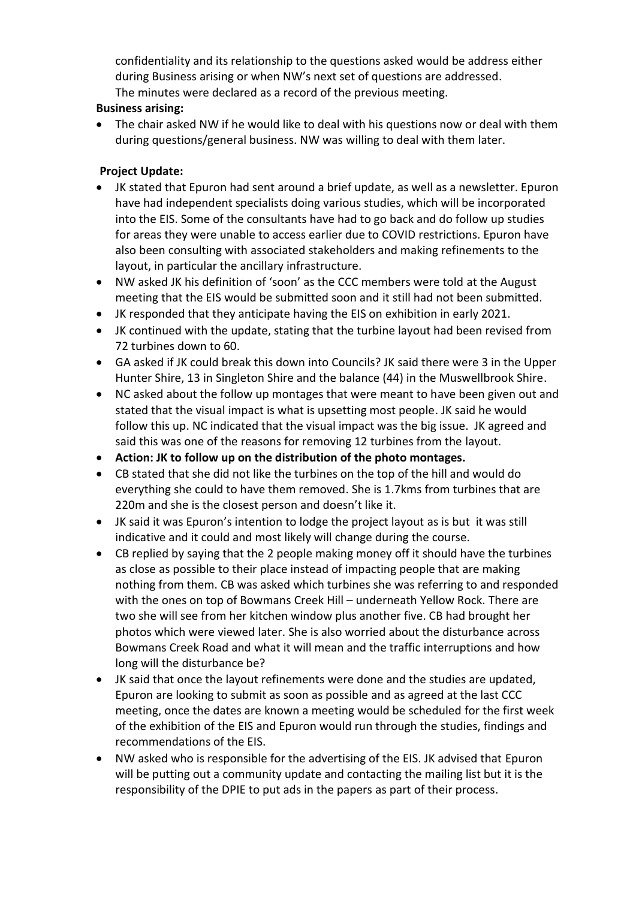confidentiality and its relationship to the questions asked would be address either during Business arising or when NW's next set of questions are addressed. The minutes were declared as a record of the previous meeting.

# **Business arising:**

• The chair asked NW if he would like to deal with his questions now or deal with them during questions/general business. NW was willing to deal with them later.

### **Project Update:**

- JK stated that Epuron had sent around a brief update, as well as a newsletter. Epuron have had independent specialists doing various studies, which will be incorporated into the EIS. Some of the consultants have had to go back and do follow up studies for areas they were unable to access earlier due to COVID restrictions. Epuron have also been consulting with associated stakeholders and making refinements to the layout, in particular the ancillary infrastructure.
- NW asked JK his definition of 'soon' as the CCC members were told at the August meeting that the EIS would be submitted soon and it still had not been submitted.
- JK responded that they anticipate having the EIS on exhibition in early 2021.
- JK continued with the update, stating that the turbine layout had been revised from 72 turbines down to 60.
- GA asked if JK could break this down into Councils? JK said there were 3 in the Upper Hunter Shire, 13 in Singleton Shire and the balance (44) in the Muswellbrook Shire.
- NC asked about the follow up montages that were meant to have been given out and stated that the visual impact is what is upsetting most people. JK said he would follow this up. NC indicated that the visual impact was the big issue. JK agreed and said this was one of the reasons for removing 12 turbines from the layout.
- **Action: JK to follow up on the distribution of the photo montages.**
- CB stated that she did not like the turbines on the top of the hill and would do everything she could to have them removed. She is 1.7kms from turbines that are 220m and she is the closest person and doesn't like it.
- JK said it was Epuron's intention to lodge the project layout as is but it was still indicative and it could and most likely will change during the course.
- CB replied by saying that the 2 people making money off it should have the turbines as close as possible to their place instead of impacting people that are making nothing from them. CB was asked which turbines she was referring to and responded with the ones on top of Bowmans Creek Hill – underneath Yellow Rock. There are two she will see from her kitchen window plus another five. CB had brought her photos which were viewed later. She is also worried about the disturbance across Bowmans Creek Road and what it will mean and the traffic interruptions and how long will the disturbance be?
- JK said that once the layout refinements were done and the studies are updated, Epuron are looking to submit as soon as possible and as agreed at the last CCC meeting, once the dates are known a meeting would be scheduled for the first week of the exhibition of the EIS and Epuron would run through the studies, findings and recommendations of the EIS.
- NW asked who is responsible for the advertising of the EIS. JK advised that Epuron will be putting out a community update and contacting the mailing list but it is the responsibility of the DPIE to put ads in the papers as part of their process.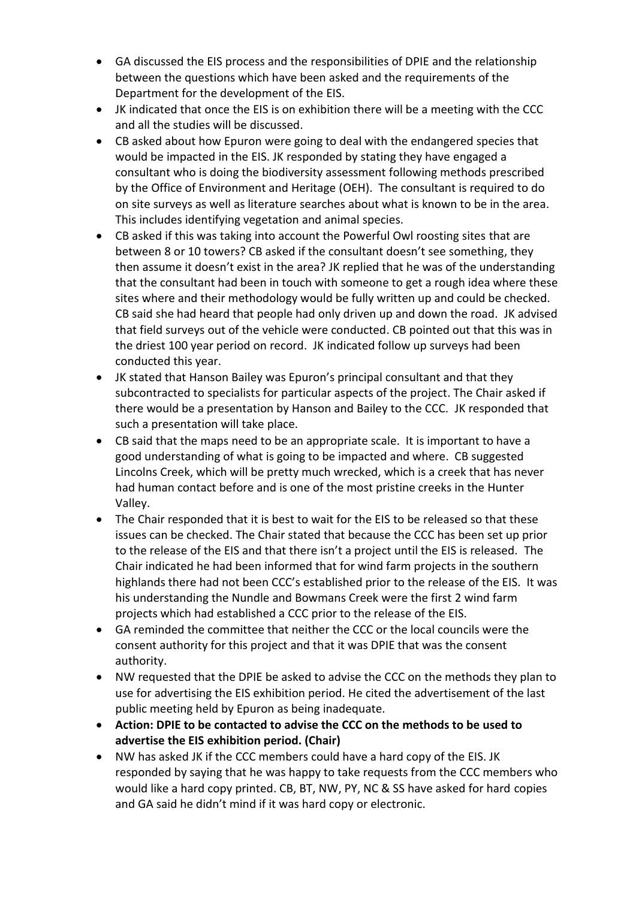- GA discussed the EIS process and the responsibilities of DPIE and the relationship between the questions which have been asked and the requirements of the Department for the development of the EIS.
- JK indicated that once the EIS is on exhibition there will be a meeting with the CCC and all the studies will be discussed.
- CB asked about how Epuron were going to deal with the endangered species that would be impacted in the EIS. JK responded by stating they have engaged a consultant who is doing the biodiversity assessment following methods prescribed by the Office of Environment and Heritage (OEH). The consultant is required to do on site surveys as well as literature searches about what is known to be in the area. This includes identifying vegetation and animal species.
- CB asked if this was taking into account the Powerful Owl roosting sites that are between 8 or 10 towers? CB asked if the consultant doesn't see something, they then assume it doesn't exist in the area? JK replied that he was of the understanding that the consultant had been in touch with someone to get a rough idea where these sites where and their methodology would be fully written up and could be checked. CB said she had heard that people had only driven up and down the road. JK advised that field surveys out of the vehicle were conducted. CB pointed out that this was in the driest 100 year period on record. JK indicated follow up surveys had been conducted this year.
- JK stated that Hanson Bailey was Epuron's principal consultant and that they subcontracted to specialists for particular aspects of the project. The Chair asked if there would be a presentation by Hanson and Bailey to the CCC. JK responded that such a presentation will take place.
- CB said that the maps need to be an appropriate scale. It is important to have a good understanding of what is going to be impacted and where. CB suggested Lincolns Creek, which will be pretty much wrecked, which is a creek that has never had human contact before and is one of the most pristine creeks in the Hunter Valley.
- The Chair responded that it is best to wait for the EIS to be released so that these issues can be checked. The Chair stated that because the CCC has been set up prior to the release of the EIS and that there isn't a project until the EIS is released. The Chair indicated he had been informed that for wind farm projects in the southern highlands there had not been CCC's established prior to the release of the EIS. It was his understanding the Nundle and Bowmans Creek were the first 2 wind farm projects which had established a CCC prior to the release of the EIS.
- GA reminded the committee that neither the CCC or the local councils were the consent authority for this project and that it was DPIE that was the consent authority.
- NW requested that the DPIE be asked to advise the CCC on the methods they plan to use for advertising the EIS exhibition period. He cited the advertisement of the last public meeting held by Epuron as being inadequate.
- **Action: DPIE to be contacted to advise the CCC on the methods to be used to advertise the EIS exhibition period. (Chair)**
- NW has asked JK if the CCC members could have a hard copy of the EIS. JK responded by saying that he was happy to take requests from the CCC members who would like a hard copy printed. CB, BT, NW, PY, NC & SS have asked for hard copies and GA said he didn't mind if it was hard copy or electronic.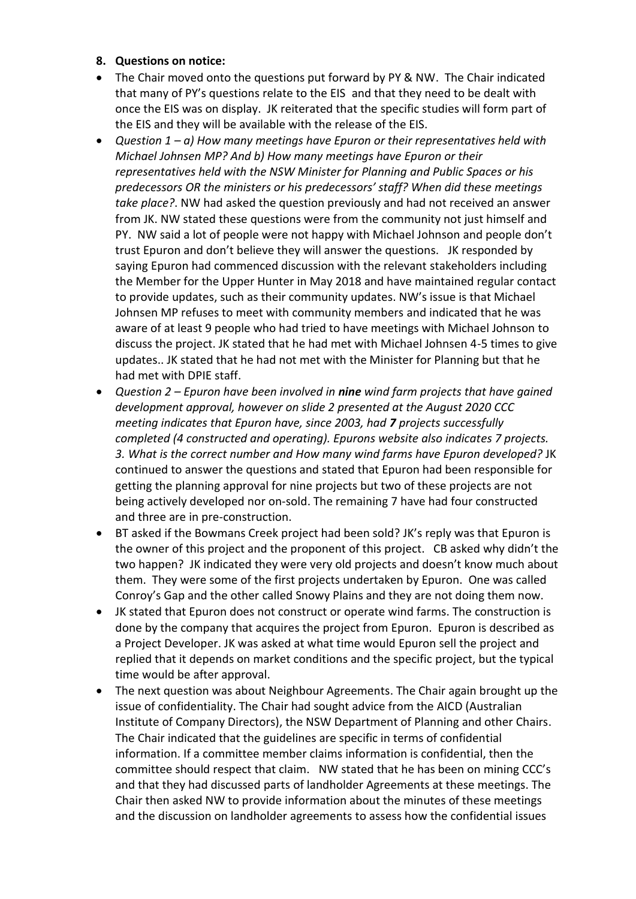### **8. Questions on notice:**

- The Chair moved onto the questions put forward by PY & NW. The Chair indicated that many of PY's questions relate to the EIS and that they need to be dealt with once the EIS was on display. JK reiterated that the specific studies will form part of the EIS and they will be available with the release of the EIS.
- *Question 1 – a) How many meetings have Epuron or their representatives held with Michael Johnsen MP? And b) How many meetings have Epuron or their representatives held with the NSW Minister for Planning and Public Spaces or his predecessors OR the ministers or his predecessors' staff? When did these meetings take place?*. NW had asked the question previously and had not received an answer from JK. NW stated these questions were from the community not just himself and PY. NW said a lot of people were not happy with Michael Johnson and people don't trust Epuron and don't believe they will answer the questions. JK responded by saying Epuron had commenced discussion with the relevant stakeholders including the Member for the Upper Hunter in May 2018 and have maintained regular contact to provide updates, such as their community updates. NW's issue is that Michael Johnsen MP refuses to meet with community members and indicated that he was aware of at least 9 people who had tried to have meetings with Michael Johnson to discuss the project. JK stated that he had met with Michael Johnsen 4-5 times to give updates.. JK stated that he had not met with the Minister for Planning but that he had met with DPIE staff.
- *Question 2 – Epuron have been involved in nine wind farm projects that have gained development approval, however on slide 2 presented at the August 2020 CCC meeting indicates that Epuron have, since 2003, had 7 projects successfully completed (4 constructed and operating). Epurons website also indicates 7 projects. 3. What is the correct number and How many wind farms have Epuron developed?* JK continued to answer the questions and stated that Epuron had been responsible for getting the planning approval for nine projects but two of these projects are not being actively developed nor on-sold. The remaining 7 have had four constructed and three are in pre-construction.
- BT asked if the Bowmans Creek project had been sold? JK's reply was that Epuron is the owner of this project and the proponent of this project. CB asked why didn't the two happen? JK indicated they were very old projects and doesn't know much about them. They were some of the first projects undertaken by Epuron. One was called Conroy's Gap and the other called Snowy Plains and they are not doing them now.
- JK stated that Epuron does not construct or operate wind farms. The construction is done by the company that acquires the project from Epuron. Epuron is described as a Project Developer. JK was asked at what time would Epuron sell the project and replied that it depends on market conditions and the specific project, but the typical time would be after approval.
- The next question was about Neighbour Agreements. The Chair again brought up the issue of confidentiality. The Chair had sought advice from the AICD (Australian Institute of Company Directors), the NSW Department of Planning and other Chairs. The Chair indicated that the guidelines are specific in terms of confidential information. If a committee member claims information is confidential, then the committee should respect that claim. NW stated that he has been on mining CCC's and that they had discussed parts of landholder Agreements at these meetings. The Chair then asked NW to provide information about the minutes of these meetings and the discussion on landholder agreements to assess how the confidential issues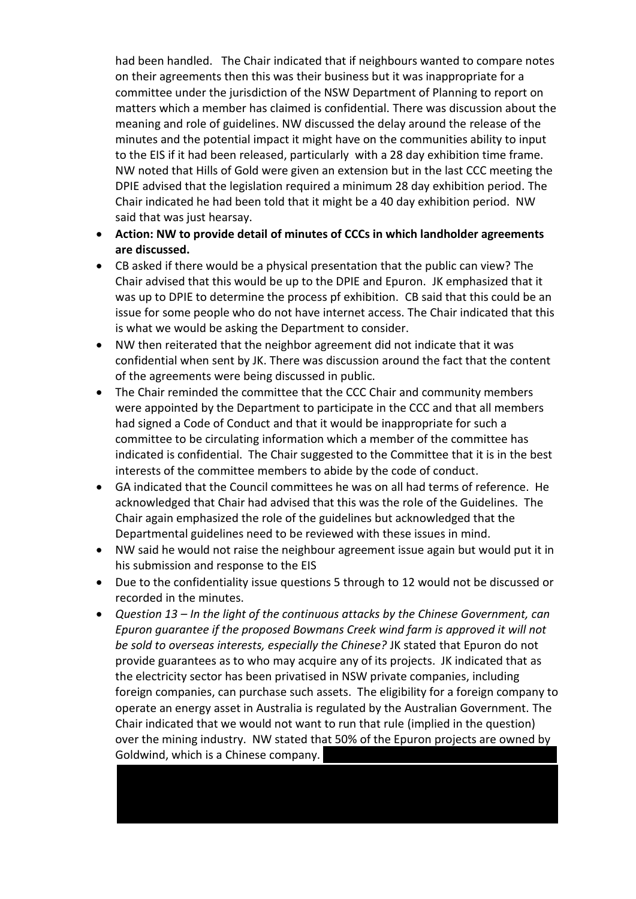had been handled. The Chair indicated that if neighbours wanted to compare notes on their agreements then this was their business but it was inappropriate for a committee under the jurisdiction of the NSW Department of Planning to report on matters which a member has claimed is confidential. There was discussion about the meaning and role of guidelines. NW discussed the delay around the release of the minutes and the potential impact it might have on the communities ability to input to the EIS if it had been released, particularly with a 28 day exhibition time frame. NW noted that Hills of Gold were given an extension but in the last CCC meeting the DPIE advised that the legislation required a minimum 28 day exhibition period. The Chair indicated he had been told that it might be a 40 day exhibition period. NW said that was just hearsay.

- **Action: NW to provide detail of minutes of CCCs in which landholder agreements are discussed.**
- CB asked if there would be a physical presentation that the public can view? The Chair advised that this would be up to the DPIE and Epuron. JK emphasized that it was up to DPIE to determine the process pf exhibition. CB said that this could be an issue for some people who do not have internet access. The Chair indicated that this is what we would be asking the Department to consider.
- NW then reiterated that the neighbor agreement did not indicate that it was confidential when sent by JK. There was discussion around the fact that the content of the agreements were being discussed in public.
- The Chair reminded the committee that the CCC Chair and community members were appointed by the Department to participate in the CCC and that all members had signed a Code of Conduct and that it would be inappropriate for such a committee to be circulating information which a member of the committee has indicated is confidential. The Chair suggested to the Committee that it is in the best interests of the committee members to abide by the code of conduct.
- GA indicated that the Council committees he was on all had terms of reference. He acknowledged that Chair had advised that this was the role of the Guidelines. The Chair again emphasized the role of the guidelines but acknowledged that the Departmental guidelines need to be reviewed with these issues in mind.
- NW said he would not raise the neighbour agreement issue again but would put it in his submission and response to the EIS
- Due to the confidentiality issue questions 5 through to 12 would not be discussed or recorded in the minutes.
- *Question 13 – In the light of the continuous attacks by the Chinese Government, can Epuron guarantee if the proposed Bowmans Creek wind farm is approved it will not be sold to overseas interests, especially the Chinese?* JK stated that Epuron do not provide guarantees as to who may acquire any of its projects. JK indicated that as the electricity sector has been privatised in NSW private companies, including foreign companies, can purchase such assets. The eligibility for a foreign company to operate an energy asset in Australia is regulated by the Australian Government. The Chair indicated that we would not want to run that rule (implied in the question) over the mining industry. NW stated that 50% of the Epuron projects are owned by Goldwind, which is a Chinese company.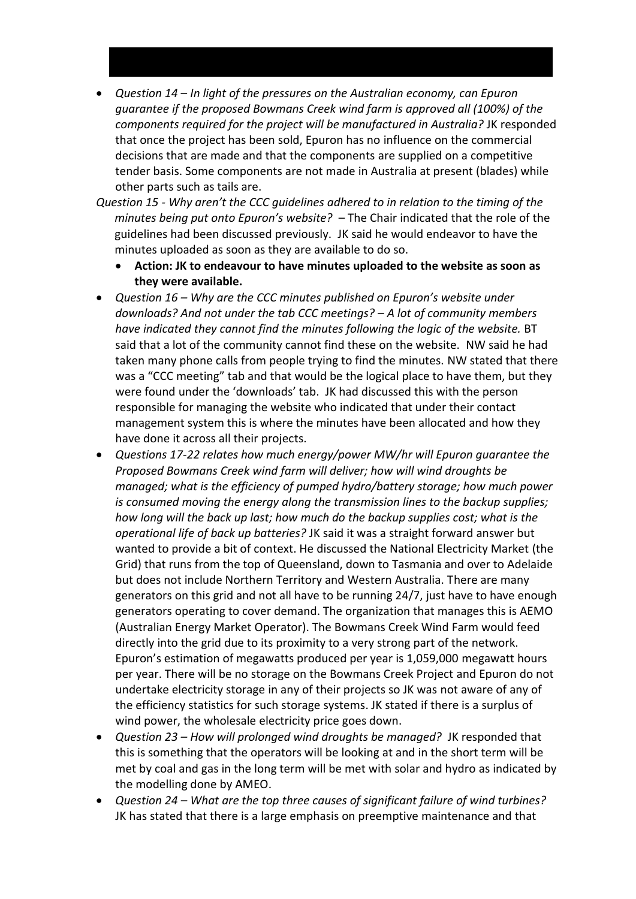- *Question 14 In light of the pressures on the Australian economy, can Epuron guarantee if the proposed Bowmans Creek wind farm is approved all (100%) of the components required for the project will be manufactured in Australia?* JK responded that once the project has been sold, Epuron has no influence on the commercial decisions that are made and that the components are supplied on a competitive tender basis. Some components are not made in Australia at present (blades) while other parts such as tails are.
- *Question 15 - Why aren't the CCC guidelines adhered to in relation to the timing of the minutes being put onto Epuron's website?* – The Chair indicated that the role of the guidelines had been discussed previously. JK said he would endeavor to have the minutes uploaded as soon as they are available to do so.
	- **Action: JK to endeavour to have minutes uploaded to the website as soon as they were available.**
- *Question 16 – Why are the CCC minutes published on Epuron's website under downloads? And not under the tab CCC meetings? – A lot of community members have indicated they cannot find the minutes following the logic of the website.* BT said that a lot of the community cannot find these on the website. NW said he had taken many phone calls from people trying to find the minutes. NW stated that there was a "CCC meeting" tab and that would be the logical place to have them, but they were found under the 'downloads' tab. JK had discussed this with the person responsible for managing the website who indicated that under their contact management system this is where the minutes have been allocated and how they have done it across all their projects.
- *Questions 17-22 relates how much energy/power MW/hr will Epuron guarantee the Proposed Bowmans Creek wind farm will deliver; how will wind droughts be managed; what is the efficiency of pumped hydro/battery storage; how much power is consumed moving the energy along the transmission lines to the backup supplies; how long will the back up last; how much do the backup supplies cost; what is the operational life of back up batteries?* JK said it was a straight forward answer but wanted to provide a bit of context. He discussed the National Electricity Market (the Grid) that runs from the top of Queensland, down to Tasmania and over to Adelaide but does not include Northern Territory and Western Australia. There are many generators on this grid and not all have to be running 24/7, just have to have enough generators operating to cover demand. The organization that manages this is AEMO (Australian Energy Market Operator). The Bowmans Creek Wind Farm would feed directly into the grid due to its proximity to a very strong part of the network. Epuron's estimation of megawatts produced per year is 1,059,000 megawatt hours per year. There will be no storage on the Bowmans Creek Project and Epuron do not undertake electricity storage in any of their projects so JK was not aware of any of the efficiency statistics for such storage systems. JK stated if there is a surplus of wind power, the wholesale electricity price goes down.
- *Question 23 – How will prolonged wind droughts be managed?* JK responded that this is something that the operators will be looking at and in the short term will be met by coal and gas in the long term will be met with solar and hydro as indicated by the modelling done by AMEO.
- *Question 24 – What are the top three causes of significant failure of wind turbines?* JK has stated that there is a large emphasis on preemptive maintenance and that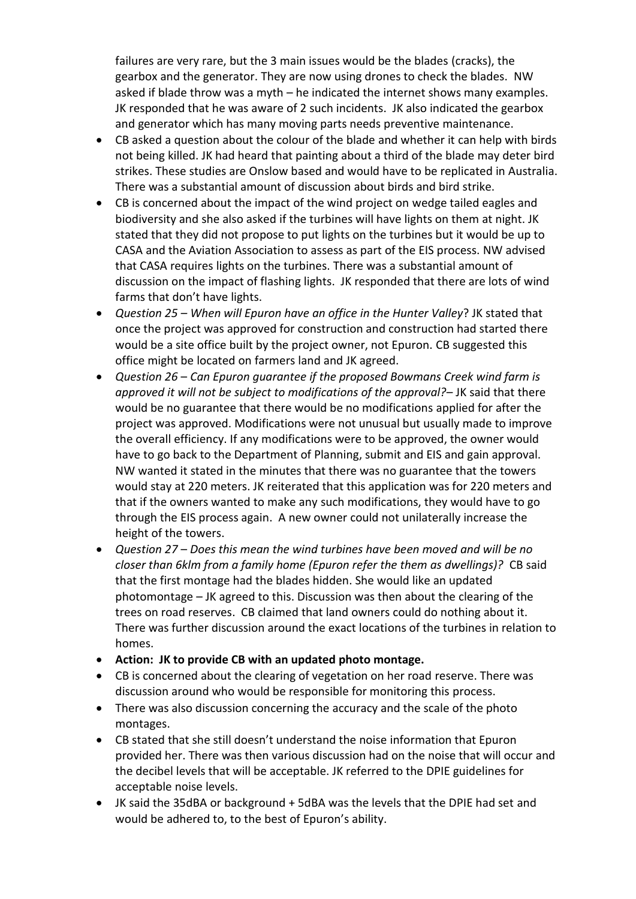failures are very rare, but the 3 main issues would be the blades (cracks), the gearbox and the generator. They are now using drones to check the blades. NW asked if blade throw was a myth – he indicated the internet shows many examples. JK responded that he was aware of 2 such incidents. JK also indicated the gearbox and generator which has many moving parts needs preventive maintenance.

- CB asked a question about the colour of the blade and whether it can help with birds not being killed. JK had heard that painting about a third of the blade may deter bird strikes. These studies are Onslow based and would have to be replicated in Australia. There was a substantial amount of discussion about birds and bird strike.
- CB is concerned about the impact of the wind project on wedge tailed eagles and biodiversity and she also asked if the turbines will have lights on them at night. JK stated that they did not propose to put lights on the turbines but it would be up to CASA and the Aviation Association to assess as part of the EIS process. NW advised that CASA requires lights on the turbines. There was a substantial amount of discussion on the impact of flashing lights. JK responded that there are lots of wind farms that don't have lights.
- *Question 25 – When will Epuron have an office in the Hunter Valley*? JK stated that once the project was approved for construction and construction had started there would be a site office built by the project owner, not Epuron. CB suggested this office might be located on farmers land and JK agreed.
- *Question 26 Can Epuron guarantee if the proposed Bowmans Creek wind farm is approved it will not be subject to modifications of the approval?*– JK said that there would be no guarantee that there would be no modifications applied for after the project was approved. Modifications were not unusual but usually made to improve the overall efficiency. If any modifications were to be approved, the owner would have to go back to the Department of Planning, submit and EIS and gain approval. NW wanted it stated in the minutes that there was no guarantee that the towers would stay at 220 meters. JK reiterated that this application was for 220 meters and that if the owners wanted to make any such modifications, they would have to go through the EIS process again. A new owner could not unilaterally increase the height of the towers.
- *Question 27 Does this mean the wind turbines have been moved and will be no closer than 6klm from a family home (Epuron refer the them as dwellings)?* CB said that the first montage had the blades hidden. She would like an updated photomontage – JK agreed to this. Discussion was then about the clearing of the trees on road reserves. CB claimed that land owners could do nothing about it. There was further discussion around the exact locations of the turbines in relation to homes.
- **Action: JK to provide CB with an updated photo montage.**
- CB is concerned about the clearing of vegetation on her road reserve. There was discussion around who would be responsible for monitoring this process.
- There was also discussion concerning the accuracy and the scale of the photo montages.
- CB stated that she still doesn't understand the noise information that Epuron provided her. There was then various discussion had on the noise that will occur and the decibel levels that will be acceptable. JK referred to the DPIE guidelines for acceptable noise levels.
- JK said the 35dBA or background + 5dBA was the levels that the DPIE had set and would be adhered to, to the best of Epuron's ability.